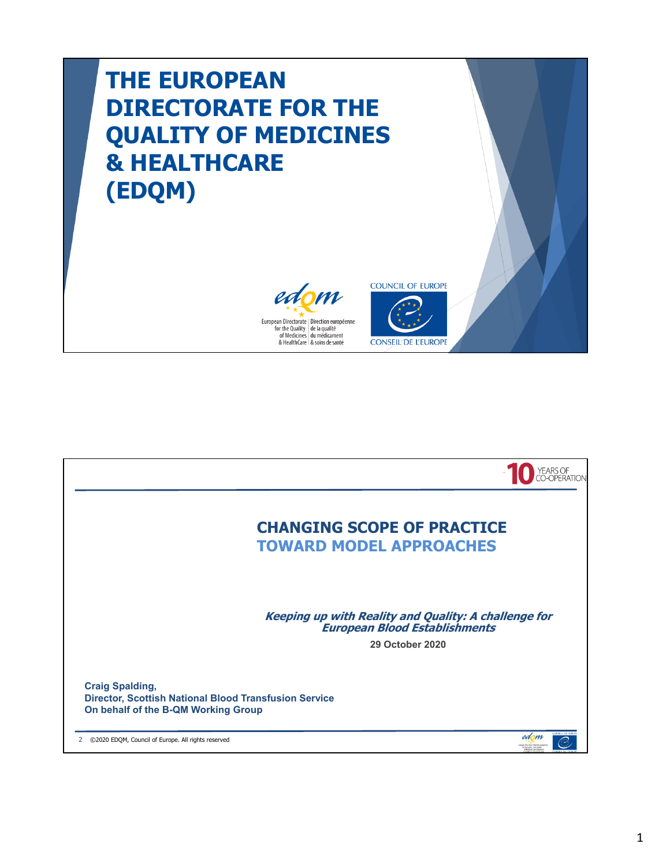## **THE EUROPEAN DIRECTORATE FOR THE QUALITY OF MEDICINES & HEALTHCARE (EDQM)**





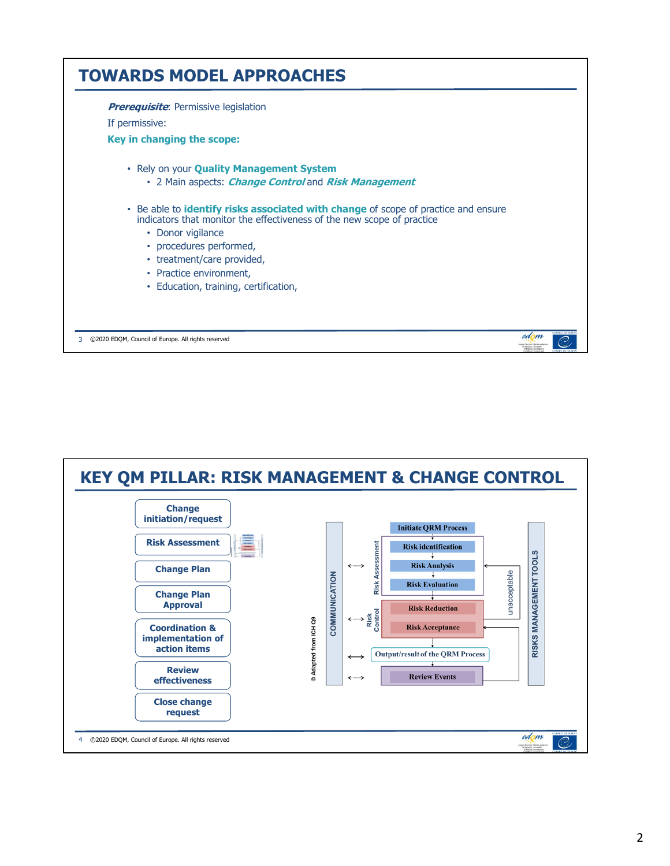

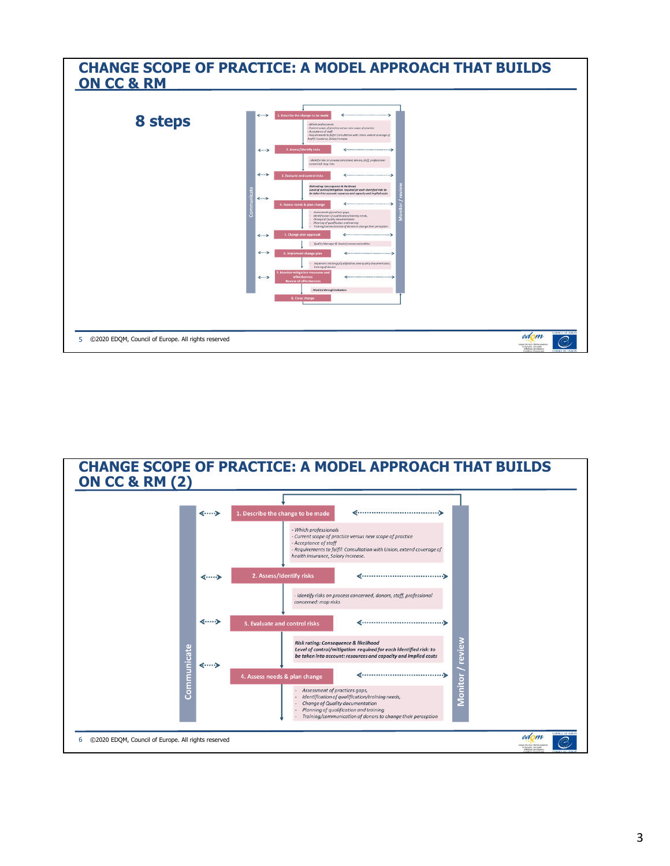

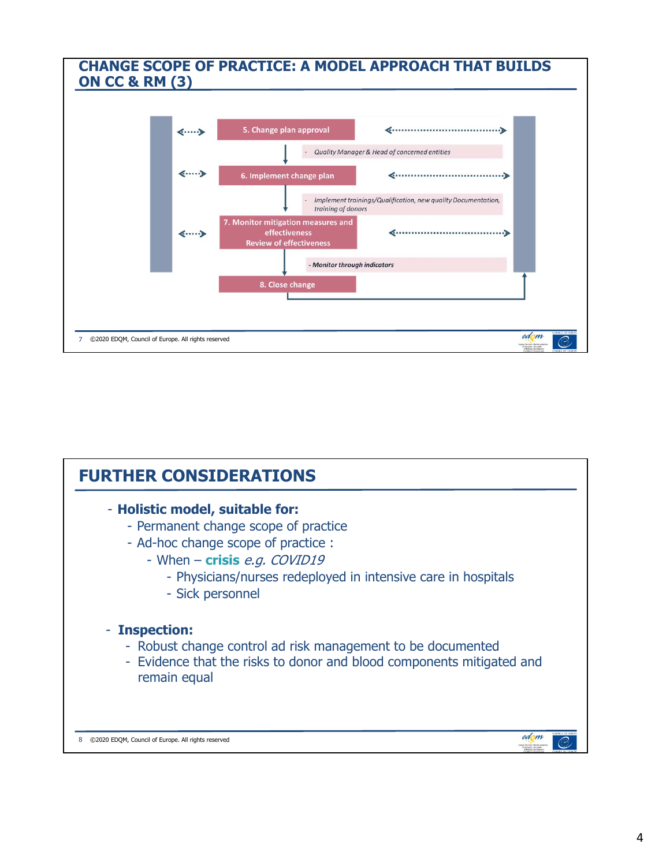